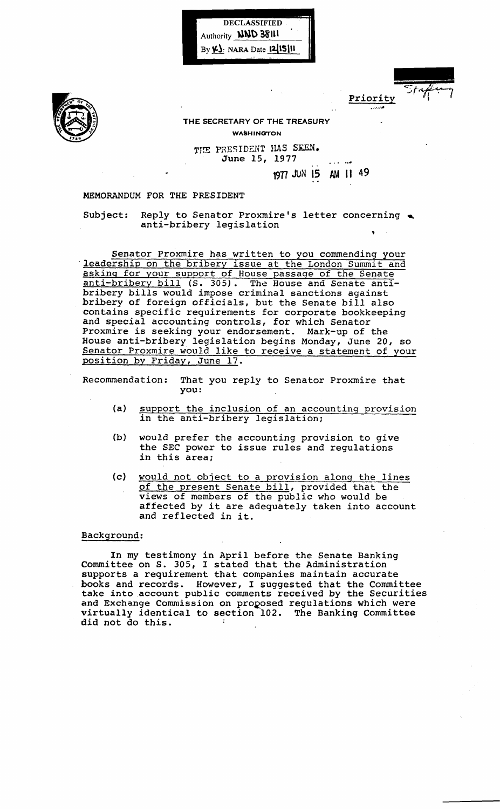



Priority ... ~."''''

## THE SECRETARY OF THE TREASURY WASHINGTON

THE PRESIDENT HAS SEEN. June 15, 1977 

1977 JUN 15 AM 11 49

## MEMORANDUM FOR THE PRESIDENT

Subject: Reply to Senator Proxmire's letter concerning  $\triangle$ anti-bribery legislation

Senator Proxmire has written to you commending your leadership on the bribery issue at the London Summit and asking for your support of House passage of the Senate anti-bribery bill (S. 305). The House and Senate anti-<br>anti-bribery bill (S. 305). The House and Senate antibribery bills would impose criminal sanctions against bribery of foreign officials, but the Senate bill also contains specific requirements for corporate bookkeeping and special accounting controls, for which Senator Proxmire is seeking your endorsement. Mark-up of the House anti-bribery legislation begins Monday, June 20, so Senator Proxmire would like to receive a statement of your position by Friday, June 17.

Recommendation: That you reply to Senator Proxmire that you:

- (a) support the inclusion of an accounting provision in the anti-bribery legislation;
- (b) would prefer the accounting provision to give the SEC power to issue rules and regulations in this area;
- (c) would not object to a provision along the lines of the present Senate bill, provided that the views of members of the public who would be affected by it are adequately taken into account and reflected in it.

## Background:

In my testimony in April before the Senate Banking Committee on S. 305, I stated that the Administration supports a requirement that companies maintain accurate books and records. However, I suggested that the Committee take into account public comments received by the Securities and Exchange Commission on proposed regulations which were virtually identical to section 102. The Banking Committee did not do this.